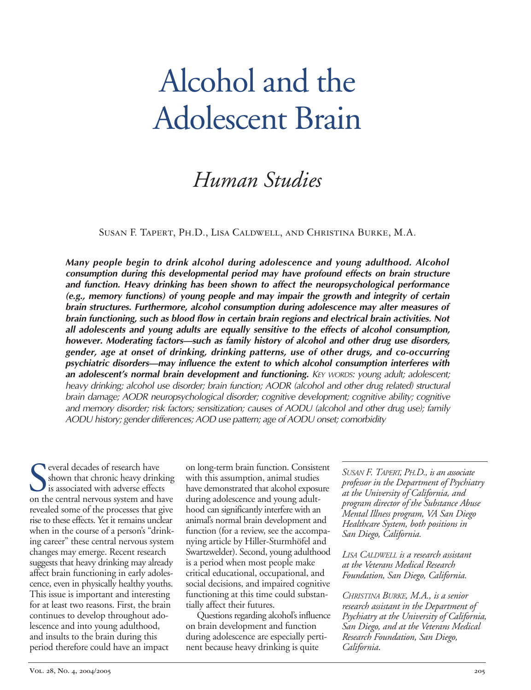# Alcohol and the Adolescent Brain

# *Human Studies*

Susan F. Tapert, Ph.D., Lisa Caldwell, and Christina Burke, M.A.

*Many people begin to drink alcohol during adolescence and young adulthood. Alcohol consumption during this developmental period may have profound effects on brain structure and function. Heavy drinking has been shown to affect the neuropsychological performance (e.g., memory functions) of young people and may impair the growth and integrity of certain brain structures. Furthermore, alcohol consumption during adolescence may alter measures of brain functioning, such as blood flow in certain brain regions and electrical brain activities. Not all adolescents and young adults are equally sensitive to the effects of alcohol consumption, however. Moderating factors—such as family history of alcohol and other drug use disorders, gender, age at onset of drinking, drinking patterns, use of other drugs, and co-occurring psychiatric disorders—may influence the extent to which alcohol consumption interferes with an adolescent's normal brain development and functioning. KEY WORDS: young adult; adolescent; heavy drinking; alcohol use disorder; brain function; AODR (alcohol and other drug related) structural brain damage; AODR neuropsychological disorder; cognitive development; cognitive ability; cognitive and memory disorder; risk factors; sensitization; causes of AODU (alcohol and other drug use); family AODU history; gender differences; AOD use pattern; age of AODU onset; comorbidity* 

S<sub>onth</sub> everal decades of research have shown that chronic heavy drinking is associated with adverse effects on the central nervous system and have revealed some of the processes that give rise to these effects. Yet it remains unclear when in the course of a person's "drinking career" these central nervous system changes may emerge. Recent research suggests that heavy drinking may already affect brain functioning in early adolescence, even in physically healthy youths. This issue is important and interesting for at least two reasons. First, the brain continues to develop throughout adolescence and into young adulthood, and insults to the brain during this period therefore could have an impact

on long-term brain function. Consistent with this assumption, animal studies have demonstrated that alcohol exposure during adolescence and young adulthood can significantly interfere with an animal's normal brain development and function (for a review, see the accompanying article by Hiller-Sturmhöfel and Swartzwelder). Second, young adulthood is a period when most people make critical educational, occupational, and social decisions, and impaired cognitive functioning at this time could substantially affect their futures.

Questions regarding alcohol's influence on brain development and function during adolescence are especially pertinent because heavy drinking is quite

*SUSAN F. TAPERT, PH.D., is an associate professor in the Department of Psychiatry at the University of California, and program director of the Substance Abuse Mental Illness program, VA San Diego Healthcare System, both positions in San Diego, California.* 

*LISA CALDWELL is a research assistant at the Veterans Medical Research Foundation, San Diego, California.* 

*CHRISTINA BURKE, M.A., is a senior research assistant in the Department of Psychiatry at the University of California, San Diego, and at the Veterans Medical Research Foundation, San Diego, California*.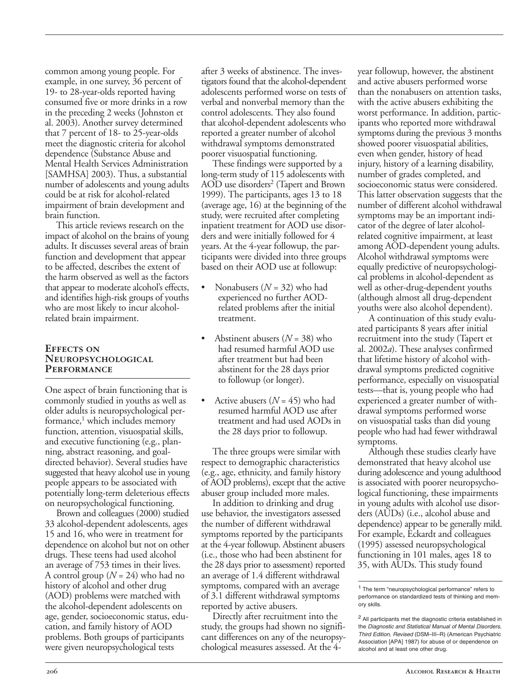common among young people. For example, in one survey, 36 percent of 19- to 28-year-olds reported having consumed five or more drinks in a row in the preceding 2 weeks (Johnston et al. 2003). Another survey determined that 7 percent of 18- to 25-year-olds meet the diagnostic criteria for alcohol dependence (Substance Abuse and Mental Health Services Administration [SAMHSA] 2003). Thus, a substantial number of adolescents and young adults could be at risk for alcohol-related impairment of brain development and brain function.

This article reviews research on the impact of alcohol on the brains of young adults. It discusses several areas of brain function and development that appear to be affected, describes the extent of the harm observed as well as the factors that appear to moderate alcohol's effects, and identifies high-risk groups of youths who are most likely to incur alcoholrelated brain impairment.

#### **Effects on Neuropsychological Performance**

One aspect of brain functioning that is commonly studied in youths as well as older adults is neuropsychological performance, $<sup>1</sup>$  which includes memory</sup> function, attention, visuospatial skills, and executive functioning (e.g., planning, abstract reasoning, and goaldirected behavior). Several studies have suggested that heavy alcohol use in young people appears to be associated with potentially long-term deleterious effects on neuropsychological functioning.

Brown and colleagues (2000) studied 33 alcohol-dependent adolescents, ages 15 and 16, who were in treatment for dependence on alcohol but not on other drugs. These teens had used alcohol an average of 753 times in their lives. A control group (*N* = 24) who had no history of alcohol and other drug (AOD) problems were matched with the alcohol-dependent adolescents on age, gender, socioeconomic status, education, and family history of AOD problems. Both groups of participants were given neuropsychological tests

after 3 weeks of abstinence. The investigators found that the alcohol-dependent adolescents performed worse on tests of verbal and nonverbal memory than the control adolescents. They also found that alcohol-dependent adolescents who reported a greater number of alcohol withdrawal symptoms demonstrated poorer visuospatial functioning.

These findings were supported by a long-term study of 115 adolescents with AOD use disorders<sup>2</sup> (Tapert and Brown 1999). The participants, ages 13 to 18 (average age, 16) at the beginning of the study, were recruited after completing inpatient treatment for AOD use disorders and were initially followed for 4 years. At the 4-year followup, the participants were divided into three groups based on their AOD use at followup:

- • Nonabusers (*N =* 32) who had experienced no further AODrelated problems after the initial treatment.
- Abstinent abusers  $(N = 38)$  who had resumed harmful AOD use after treatment but had been abstinent for the 28 days prior to followup (or longer).
- Active abusers  $(N = 45)$  who had resumed harmful AOD use after treatment and had used AODs in the 28 days prior to followup.

The three groups were similar with respect to demographic characteristics (e.g., age, ethnicity, and family history of AOD problems), except that the active abuser group included more males.

In addition to drinking and drug use behavior, the investigators assessed the number of different withdrawal symptoms reported by the participants at the 4-year followup. Abstinent abusers (i.e., those who had been abstinent for the 28 days prior to assessment) reported an average of 1.4 different withdrawal symptoms, compared with an average of 3.1 different withdrawal symptoms reported by active abusers.

Directly after recruitment into the study, the groups had shown no significant differences on any of the neuropsychological measures assessed. At the 4

year followup, however, the abstinent and active abusers performed worse than the nonabusers on attention tasks, with the active abusers exhibiting the worst performance. In addition, participants who reported more withdrawal symptoms during the previous 3 months showed poorer visuospatial abilities, even when gender, history of head injury, history of a learning disability, number of grades completed, and socioeconomic status were considered. This latter observation suggests that the number of different alcohol withdrawal symptoms may be an important indicator of the degree of later alcoholrelated cognitive impairment, at least among AOD-dependent young adults. Alcohol withdrawal symptoms were equally predictive of neuropsychological problems in alcohol-dependent as well as other-drug-dependent youths (although almost all drug-dependent youths were also alcohol dependent).

A continuation of this study evaluated participants 8 years after initial recruitment into the study (Tapert et al. 2002*a*). These analyses confirmed that lifetime history of alcohol withdrawal symptoms predicted cognitive performance, especially on visuospatial tests—that is, young people who had experienced a greater number of withdrawal symptoms performed worse on visuospatial tasks than did young people who had had fewer withdrawal symptoms.

Although these studies clearly have demonstrated that heavy alcohol use during adolescence and young adulthood is associated with poorer neuropsychological functioning, these impairments in young adults with alcohol use disorders (AUDs) (i.e., alcohol abuse and dependence) appear to be generally mild. For example, Eckardt and colleagues (1995) assessed neuropsychological functioning in 101 males, ages 18 to 35, with AUDs. This study found

<sup>1</sup> The term "neuropsychological performance" refers to performance on standardized tests of thinking and memory skills.

<sup>2</sup> All participants met the diagnostic criteria established in the Diagnostic and Statistical Manual of Mental Disorders, Third Edition, Revised (DSM–III–R) (American Psychiatric Association [APA] 1987) for abuse of or dependence on alcohol and at least one other drug.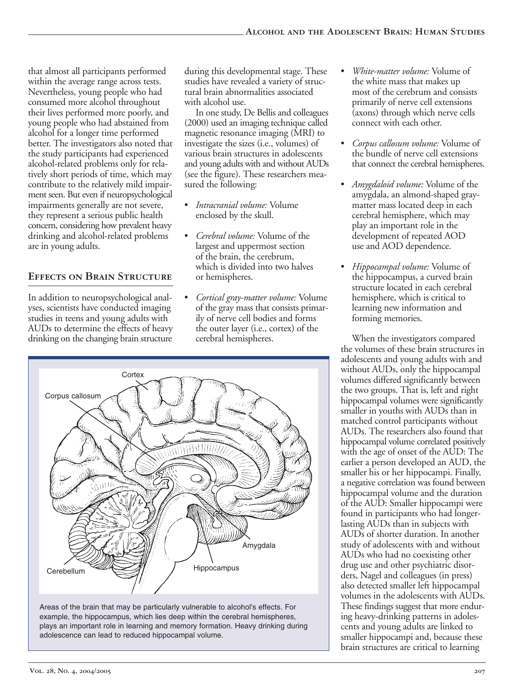that almost all participants performed within the average range across tests. Nevertheless, young people who had consumed more alcohol throughout their lives performed more poorly, and young people who had abstained from alcohol for a longer time performed better. The investigators also noted that the study participants had experienced alcohol-related problems only for relatively short periods of time, which may contribute to the relatively mild impairment seen. But even if neuropsychological impairments generally are not severe, they represent a serious public health concern, considering how prevalent heavy drinking and alcohol-related problems are in young adults.

#### **Effects on Brain Structure**

In addition to neuropsychological analyses, scientists have conducted imaging studies in teens and young adults with AUDs to determine the effects of heavy drinking on the changing brain structure

during this developmental stage. These studies have revealed a variety of structural brain abnormalities associated with alcohol use.

In one study, De Bellis and colleagues (2000) used an imaging technique called magnetic resonance imaging (MRI) to investigate the sizes (i.e., volumes) of various brain structures in adolescents and young adults with and without AUDs (see the figure). These researchers measured the following:

- • *Intracranial volume:* Volume enclosed by the skull.
- *Cerebral volume:* Volume of the largest and uppermost section of the brain, the cerebrum, which is divided into two halves or hemispheres.
- • *Cortical gray-matter volume:* Volume of the gray mass that consists primarily of nerve cell bodies and forms the outer layer (i.e., cortex) of the cerebral hemispheres.





- *White-matter volume:* Volume of the white mass that makes up most of the cerebrum and consists primarily of nerve cell extensions (axons) through which nerve cells connect with each other.
- • *Corpus callosum volume:* Volume of the bundle of nerve cell extensions that connect the cerebral hemispheres.
- Amygdaloid volume: Volume of the amygdala, an almond-shaped graymatter mass located deep in each cerebral hemisphere, which may play an important role in the development of repeated AOD use and AOD dependence.
- • *Hippocampal volume:* Volume of the hippocampus, a curved brain structure located in each cerebral hemisphere, which is critical to learning new information and forming memories.

When the investigators compared the volumes of these brain structures in adolescents and young adults with and without AUDs, only the hippocampal volumes differed significantly between the two groups. That is, left and right hippocampal volumes were significantly smaller in youths with AUDs than in matched control participants without AUDs. The researchers also found that hippocampal volume correlated positively with the age of onset of the AUD: The earlier a person developed an AUD, the smaller his or her hippocampi. Finally, a negative correlation was found between hippocampal volume and the duration of the AUD: Smaller hippocampi were found in participants who had longerlasting AUDs than in subjects with AUDs of shorter duration. In another study of adolescents with and without AUDs who had no coexisting other drug use and other psychiatric disorders, Nagel and colleagues (in press) also detected smaller left hippocampal volumes in the adolescents with AUDs. These findings suggest that more enduring heavy-drinking patterns in adolescents and young adults are linked to smaller hippocampi and, because these brain structures are critical to learning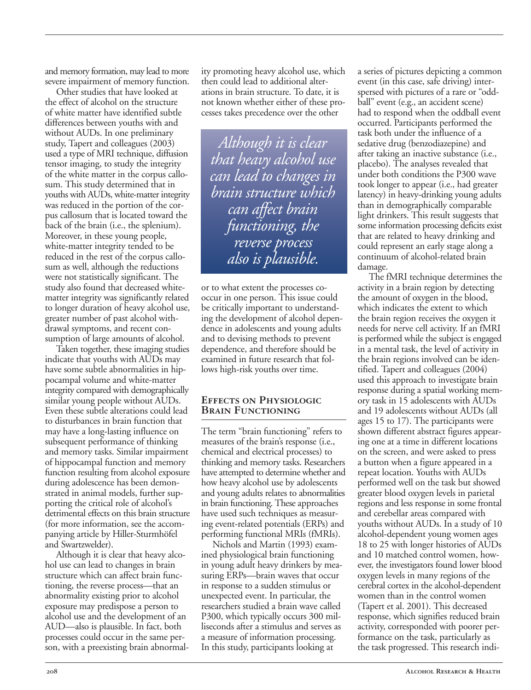and memory formation, may lead to more severe impairment of memory function.

Other studies that have looked at the effect of alcohol on the structure of white matter have identified subtle differences between youths with and without AUDs. In one preliminary study, Tapert and colleagues (2003) used a type of MRI technique, diffusion tensor imaging, to study the integrity of the white matter in the corpus callosum. This study determined that in youths with AUDs, white-matter integrity was reduced in the portion of the corpus callosum that is located toward the back of the brain (i.e., the splenium). Moreover, in these young people, white-matter integrity tended to be reduced in the rest of the corpus callosum as well, although the reductions were not statistically significant. The study also found that decreased whitematter integrity was significantly related to longer duration of heavy alcohol use, greater number of past alcohol withdrawal symptoms, and recent consumption of large amounts of alcohol.

Taken together, these imaging studies indicate that youths with AUDs may have some subtle abnormalities in hippocampal volume and white-matter integrity compared with demographically similar young people without AUDs. Even these subtle alterations could lead to disturbances in brain function that may have a long-lasting influence on subsequent performance of thinking and memory tasks. Similar impairment of hippocampal function and memory function resulting from alcohol exposure during adolescence has been demonstrated in animal models, further supporting the critical role of alcohol's detrimental effects on this brain structure (for more information, see the accompanying article by Hiller-Sturmhöfel and Swartzwelder).

Although it is clear that heavy alcohol use can lead to changes in brain structure which can affect brain functioning, the reverse process—that an abnormality existing prior to alcohol exposure may predispose a person to alcohol use and the development of an AUD—also is plausible. In fact, both processes could occur in the same person, with a preexisting brain abnormality promoting heavy alcohol use, which then could lead to additional alterations in brain structure. To date, it is not known whether either of these processes takes precedence over the other

*Although it is clear that heavy alcohol use can lead to changes in brain structure which can affect brain functioning, the reverse process also is plausible.* 

or to what extent the processes cooccur in one person. This issue could be critically important to understanding the development of alcohol dependence in adolescents and young adults and to devising methods to prevent dependence, and therefore should be examined in future research that follows high-risk youths over time.

#### **Effects on Physiologic Brain Functioning**

The term "brain functioning" refers to measures of the brain's response (i.e., chemical and electrical processes) to thinking and memory tasks. Researchers have attempted to determine whether and how heavy alcohol use by adolescents and young adults relates to abnormalities in brain functioning. These approaches have used such techniques as measuring event-related potentials (ERPs) and performing functional MRIs (fMRIs).

Nichols and Martin (1993) examined physiological brain functioning in young adult heavy drinkers by measuring ERPs—brain waves that occur in response to a sudden stimulus or unexpected event. In particular, the researchers studied a brain wave called P300, which typically occurs 300 milliseconds after a stimulus and serves as a measure of information processing. In this study, participants looking at

a series of pictures depicting a common event (in this case, safe driving) interspersed with pictures of a rare or "oddball" event (e.g., an accident scene) had to respond when the oddball event occurred. Participants performed the task both under the influence of a sedative drug (benzodiazepine) and after taking an inactive substance (i.e., placebo). The analyses revealed that under both conditions the P300 wave took longer to appear (i.e., had greater latency) in heavy-drinking young adults than in demographically comparable light drinkers. This result suggests that some information processing deficits exist that are related to heavy drinking and could represent an early stage along a continuum of alcohol-related brain damage.

The fMRI technique determines the activity in a brain region by detecting the amount of oxygen in the blood, which indicates the extent to which the brain region receives the oxygen it needs for nerve cell activity. If an fMRI is performed while the subject is engaged in a mental task, the level of activity in the brain regions involved can be identified. Tapert and colleagues (2004) used this approach to investigate brain response during a spatial working memory task in 15 adolescents with AUDs and 19 adolescents without AUDs (all ages 15 to 17). The participants were shown different abstract figures appearing one at a time in different locations on the screen, and were asked to press a button when a figure appeared in a repeat location. Youths with AUDs performed well on the task but showed greater blood oxygen levels in parietal regions and less response in some frontal and cerebellar areas compared with youths without AUDs. In a study of 10 alcohol-dependent young women ages 18 to 25 with longer histories of AUDs and 10 matched control women, however, the investigators found lower blood oxygen levels in many regions of the cerebral cortex in the alcohol-dependent women than in the control women (Tapert et al. 2001). This decreased response, which signifies reduced brain activity, corresponded with poorer performance on the task, particularly as the task progressed. This research indi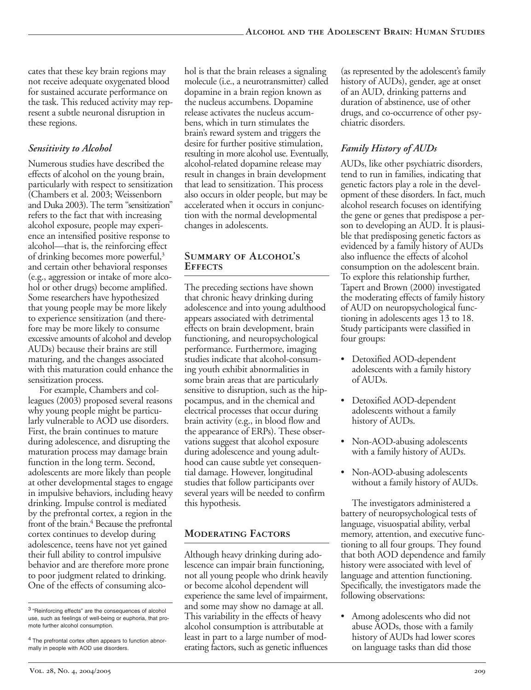cates that these key brain regions may not receive adequate oxygenated blood for sustained accurate performance on the task. This reduced activity may represent a subtle neuronal disruption in these regions.

#### *Sensitivity to Alcohol*

Numerous studies have described the effects of alcohol on the young brain, particularly with respect to sensitization (Chambers et al. 2003; Weissenborn and Duka 2003). The term "sensitization" refers to the fact that with increasing alcohol exposure, people may experience an intensified positive response to alcohol—that is, the reinforcing effect of drinking becomes more powerful,<sup>3</sup> and certain other behavioral responses (e.g., aggression or intake of more alcohol or other drugs) become amplified. Some researchers have hypothesized that young people may be more likely to experience sensitization (and therefore may be more likely to consume excessive amounts of alcohol and develop AUDs) because their brains are still maturing, and the changes associated with this maturation could enhance the sensitization process.

For example, Chambers and colleagues (2003) proposed several reasons why young people might be particularly vulnerable to AOD use disorders. First, the brain continues to mature during adolescence, and disrupting the maturation process may damage brain function in the long term. Second, adolescents are more likely than people at other developmental stages to engage in impulsive behaviors, including heavy drinking. Impulse control is mediated by the prefrontal cortex, a region in the front of the brain.<sup>4</sup> Because the prefrontal cortex continues to develop during adolescence, teens have not yet gained their full ability to control impulsive behavior and are therefore more prone to poor judgment related to drinking. One of the effects of consuming alcohol is that the brain releases a signaling molecule (i.e., a neurotransmitter) called dopamine in a brain region known as the nucleus accumbens. Dopamine release activates the nucleus accumbens, which in turn stimulates the brain's reward system and triggers the desire for further positive stimulation, resulting in more alcohol use. Eventually, alcohol-related dopamine release may result in changes in brain development that lead to sensitization. This process also occurs in older people, but may be accelerated when it occurs in conjunction with the normal developmental changes in adolescents.

#### **Summary of Alcohol's Effects**

The preceding sections have shown that chronic heavy drinking during adolescence and into young adulthood appears associated with detrimental effects on brain development, brain functioning, and neuropsychological performance. Furthermore, imaging studies indicate that alcohol-consuming youth exhibit abnormalities in some brain areas that are particularly sensitive to disruption, such as the hippocampus, and in the chemical and electrical processes that occur during brain activity (e.g., in blood flow and the appearance of ERPs). These observations suggest that alcohol exposure during adolescence and young adulthood can cause subtle yet consequential damage. However, longitudinal studies that follow participants over several years will be needed to confirm this hypothesis.

## **Moderating Factors**

Although heavy drinking during adolescence can impair brain functioning, not all young people who drink heavily or become alcohol dependent will experience the same level of impairment, and some may show no damage at all. This variability in the effects of heavy alcohol consumption is attributable at least in part to a large number of moderating factors, such as genetic influences

(as represented by the adolescent's family history of AUDs), gender, age at onset of an AUD, drinking patterns and duration of abstinence, use of other drugs, and co-occurrence of other psychiatric disorders.

#### *Family History of AUDs*

AUDs, like other psychiatric disorders, tend to run in families, indicating that genetic factors play a role in the development of these disorders. In fact, much alcohol research focuses on identifying the gene or genes that predispose a person to developing an AUD. It is plausible that predisposing genetic factors as evidenced by a family history of AUDs also influence the effects of alcohol consumption on the adolescent brain. To explore this relationship further, Tapert and Brown (2000) investigated the moderating effects of family history of AUD on neuropsychological functioning in adolescents ages 13 to 18. Study participants were classified in four groups:

- Detoxified AOD-dependent adolescents with a family history of AUDs.
- • Detoxified AOD-dependent adolescents without a family history of AUDs.
- Non-AOD-abusing adolescents with a family history of AUDs.
- Non-AOD-abusing adolescents without a family history of AUDs.

The investigators administered a battery of neuropsychological tests of language, visuospatial ability, verbal memory, attention, and executive functioning to all four groups. They found that both AOD dependence and family history were associated with level of language and attention functioning. Specifically, the investigators made the following observations:

• Among adolescents who did not abuse AODs, those with a family history of AUDs had lower scores on language tasks than did those

<sup>3 &</sup>quot;Reinforcing effects" are the consequences of alcohol use, such as feelings of well-being or euphoria, that promote further alcohol consumption.

<sup>4</sup> The prefrontal cortex often appears to function abnormally in people with AOD use disorders.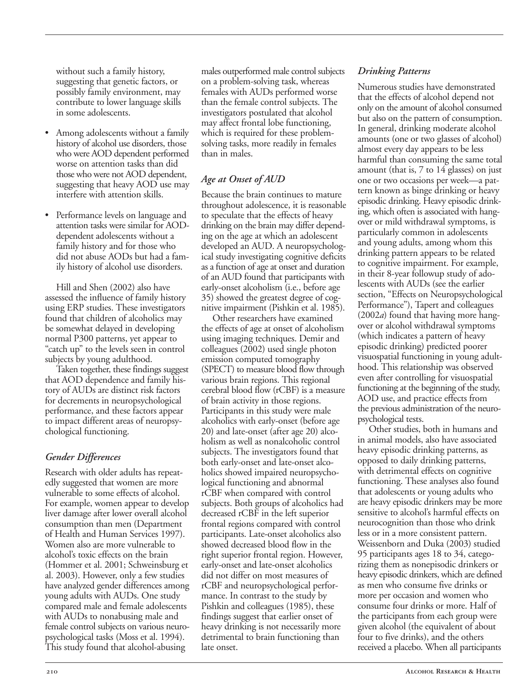without such a family history, suggesting that genetic factors, or possibly family environment, may contribute to lower language skills in some adolescents.

- Among adolescents without a family history of alcohol use disorders, those who were AOD dependent performed worse on attention tasks than did those who were not AOD dependent, suggesting that heavy AOD use may interfere with attention skills.
- Performance levels on language and attention tasks were similar for AODdependent adolescents without a family history and for those who did not abuse AODs but had a family history of alcohol use disorders.

Hill and Shen (2002) also have assessed the influence of family history using ERP studies. These investigators found that children of alcoholics may be somewhat delayed in developing normal P300 patterns, yet appear to "catch up" to the levels seen in control subjects by young adulthood.

Taken together, these findings suggest that AOD dependence and family history of AUDs are distinct risk factors for decrements in neuropsychological performance, and these factors appear to impact different areas of neuropsychological functioning.

#### *Gender Differences*

Research with older adults has repeatedly suggested that women are more vulnerable to some effects of alcohol. For example, women appear to develop liver damage after lower overall alcohol consumption than men (Department of Health and Human Services 1997). Women also are more vulnerable to alcohol's toxic effects on the brain (Hommer et al. 2001; Schweinsburg et al. 2003). However, only a few studies have analyzed gender differences among young adults with AUDs. One study compared male and female adolescents with AUDs to nonabusing male and female control subjects on various neuropsychological tasks (Moss et al. 1994). This study found that alcohol-abusing

males outperformed male control subjects on a problem-solving task, whereas females with AUDs performed worse than the female control subjects. The investigators postulated that alcohol may affect frontal lobe functioning, which is required for these problemsolving tasks, more readily in females than in males.

# *Age at Onset of AUD*

Because the brain continues to mature throughout adolescence, it is reasonable to speculate that the effects of heavy drinking on the brain may differ depending on the age at which an adolescent developed an AUD. A neuropsychological study investigating cognitive deficits as a function of age at onset and duration of an AUD found that participants with early-onset alcoholism (i.e., before age 35) showed the greatest degree of cognitive impairment (Pishkin et al. 1985).

Other researchers have examined the effects of age at onset of alcoholism using imaging techniques. Demir and colleagues (2002) used single photon emission computed tomography (SPECT) to measure blood flow through various brain regions. This regional cerebral blood flow (rCBF) is a measure of brain activity in those regions. Participants in this study were male alcoholics with early-onset (before age 20) and late-onset (after age 20) alcoholism as well as nonalcoholic control subjects. The investigators found that both early-onset and late-onset alcoholics showed impaired neuropsychological functioning and abnormal rCBF when compared with control subjects. Both groups of alcoholics had decreased rCBF in the left superior frontal regions compared with control participants. Late-onset alcoholics also showed decreased blood flow in the right superior frontal region. However, early-onset and late-onset alcoholics did not differ on most measures of rCBF and neuropsychological performance. In contrast to the study by Pishkin and colleagues (1985), these findings suggest that earlier onset of heavy drinking is not necessarily more detrimental to brain functioning than late onset.

#### *Drinking Patterns*

Numerous studies have demonstrated that the effects of alcohol depend not only on the amount of alcohol consumed but also on the pattern of consumption. In general, drinking moderate alcohol amounts (one or two glasses of alcohol) almost every day appears to be less harmful than consuming the same total amount (that is, 7 to 14 glasses) on just one or two occasions per week—a pattern known as binge drinking or heavy episodic drinking. Heavy episodic drinking, which often is associated with hangover or mild withdrawal symptoms, is particularly common in adolescents and young adults, among whom this drinking pattern appears to be related to cognitive impairment. For example, in their 8-year followup study of adolescents with AUDs (see the earlier section, "Effects on Neuropsychological Performance"), Tapert and colleagues (2002*a*) found that having more hangover or alcohol withdrawal symptoms (which indicates a pattern of heavy episodic drinking) predicted poorer visuospatial functioning in young adulthood. This relationship was observed even after controlling for visuospatial functioning at the beginning of the study, AOD use, and practice effects from the previous administration of the neuropsychological tests.

Other studies, both in humans and in animal models, also have associated heavy episodic drinking patterns, as opposed to daily drinking patterns, with detrimental effects on cognitive functioning. These analyses also found that adolescents or young adults who are heavy episodic drinkers may be more sensitive to alcohol's harmful effects on neurocognition than those who drink less or in a more consistent pattern. Weissenborn and Duka (2003) studied 95 participants ages 18 to 34, categorizing them as nonepisodic drinkers or heavy episodic drinkers, which are defined as men who consume five drinks or more per occasion and women who consume four drinks or more. Half of the participants from each group were given alcohol (the equivalent of about four to five drinks), and the others received a placebo. When all participants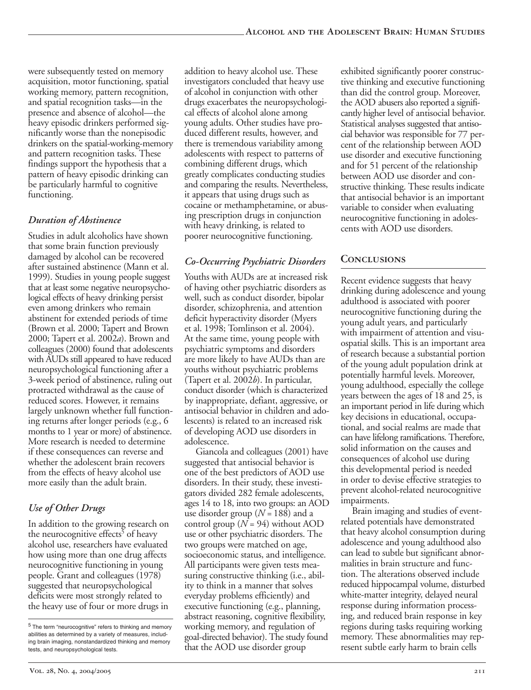were subsequently tested on memory acquisition, motor functioning, spatial working memory, pattern recognition, and spatial recognition tasks—in the presence and absence of alcohol—the heavy episodic drinkers performed significantly worse than the nonepisodic drinkers on the spatial-working-memory and pattern recognition tasks. These findings support the hypothesis that a pattern of heavy episodic drinking can be particularly harmful to cognitive functioning.

#### *Duration of Abstinence*

Studies in adult alcoholics have shown that some brain function previously damaged by alcohol can be recovered after sustained abstinence (Mann et al. 1999). Studies in young people suggest that at least some negative neuropsychological effects of heavy drinking persist even among drinkers who remain abstinent for extended periods of time (Brown et al. 2000; Tapert and Brown 2000; Tapert et al. 2002*a*). Brown and colleagues (2000) found that adolescents with AUDs still appeared to have reduced neuropsychological functioning after a 3-week period of abstinence, ruling out protracted withdrawal as the cause of reduced scores. However, it remains largely unknown whether full functioning returns after longer periods (e.g., 6 months to 1 year or more) of abstinence. More research is needed to determine if these consequences can reverse and whether the adolescent brain recovers from the effects of heavy alcohol use more easily than the adult brain.

## *Use of Other Drugs*

In addition to the growing research on the neurocognitive effects<sup>5</sup> of heavy alcohol use, researchers have evaluated how using more than one drug affects neurocognitive functioning in young people. Grant and colleagues (1978) suggested that neuropsychological deficits were most strongly related to the heavy use of four or more drugs in addition to heavy alcohol use. These investigators concluded that heavy use of alcohol in conjunction with other drugs exacerbates the neuropsychological effects of alcohol alone among young adults. Other studies have produced different results, however, and there is tremendous variability among adolescents with respect to patterns of combining different drugs, which greatly complicates conducting studies and comparing the results. Nevertheless, it appears that using drugs such as cocaine or methamphetamine, or abusing prescription drugs in conjunction with heavy drinking, is related to poorer neurocognitive functioning.

#### *Co-Occurring Psychiatric Disorders*

Youths with AUDs are at increased risk of having other psychiatric disorders as well, such as conduct disorder, bipolar disorder, schizophrenia, and attention deficit hyperactivity disorder (Myers et al. 1998; Tomlinson et al. 2004). At the same time, young people with psychiatric symptoms and disorders are more likely to have AUDs than are youths without psychiatric problems (Tapert et al. 2002*b*). In particular, conduct disorder (which is characterized by inappropriate, defiant, aggressive, or antisocial behavior in children and adolescents) is related to an increased risk of developing AOD use disorders in adolescence.

Giancola and colleagues (2001) have suggested that antisocial behavior is one of the best predictors of AOD use disorders. In their study, these investigators divided 282 female adolescents, ages 14 to 18, into two groups: an AOD use disorder group (*N* = 188) and a control group  $(N = 94)$  without AOD use or other psychiatric disorders. The two groups were matched on age, socioeconomic status, and intelligence. All participants were given tests measuring constructive thinking (i.e., ability to think in a manner that solves everyday problems efficiently) and executive functioning (e.g., planning, abstract reasoning, cognitive flexibility, working memory, and regulation of goal-directed behavior). The study found that the AOD use disorder group

exhibited significantly poorer constructive thinking and executive functioning than did the control group. Moreover, the AOD abusers also reported a significantly higher level of antisocial behavior. Statistical analyses suggested that antisocial behavior was responsible for 77 percent of the relationship between AOD use disorder and executive functioning and for 51 percent of the relationship between AOD use disorder and constructive thinking. These results indicate that antisocial behavior is an important variable to consider when evaluating neurocognitive functioning in adolescents with AOD use disorders.

## **Conclusions**

Recent evidence suggests that heavy drinking during adolescence and young adulthood is associated with poorer neurocognitive functioning during the young adult years, and particularly with impairment of attention and visuospatial skills. This is an important area of research because a substantial portion of the young adult population drink at potentially harmful levels. Moreover, young adulthood, especially the college years between the ages of 18 and 25, is an important period in life during which key decisions in educational, occupational, and social realms are made that can have lifelong ramifications. Therefore, solid information on the causes and consequences of alcohol use during this developmental period is needed in order to devise effective strategies to prevent alcohol-related neurocognitive impairments.

Brain imaging and studies of eventrelated potentials have demonstrated that heavy alcohol consumption during adolescence and young adulthood also can lead to subtle but significant abnormalities in brain structure and function. The alterations observed include reduced hippocampal volume, disturbed white-matter integrity, delayed neural response during information processing, and reduced brain response in key regions during tasks requiring working memory. These abnormalities may represent subtle early harm to brain cells

<sup>5</sup> The term "neurocognitive" refers to thinking and memory abilities as determined by a variety of measures, including brain imaging, nonstandardized thinking and memory tests, and neuropsychological tests.